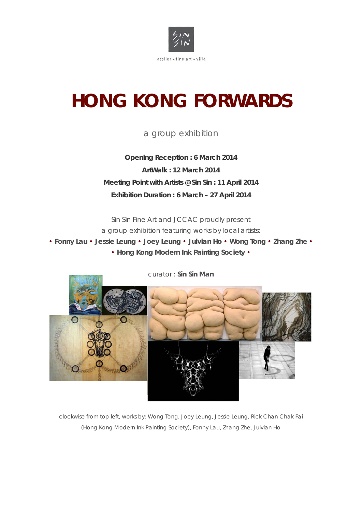

# **HONG KONG FORWARDS**

## a group exhibition

**Opening Reception : 6 March 2014 ArtWalk : 12 March 2014 Meeting Point with Artists @ Sin Sin : 11 April 2014 Exhibition Duration : 6 March – 27 April 2014** 

Sin Sin Fine Art and JCCAC proudly present a group exhibition featuring works by local artists:

• **Fonny Lau** • **Jessie Leung** • **Joey Leung** • **Julvian Ho** • **Wong Tong** • **Zhang Zhe** • • **Hong Kong Modern Ink Painting Society** •



clockwise from top left, works by: Wong Tong, Joey Leung, Jessie Leung, Rick Chan Chak Fai

(Hong Kong Modern Ink Painting Society), Fonny Lau, Zhang Zhe, Julvian Ho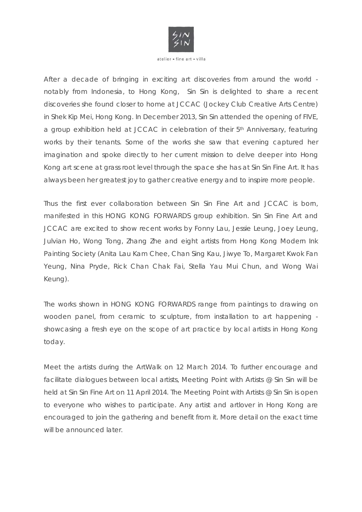

After a decade of bringing in exciting art discoveries from around the world notably from Indonesia, to Hong Kong, Sin Sin is delighted to share a recent discoveries she found closer to home at JCCAC (Jockey Club Creative Arts Centre) in Shek Kip Mei, Hong Kong. In December 2013, Sin Sin attended the opening of FIVE, a group exhibition held at JCCAC in celebration of their 5<sup>th</sup> Anniversary, featuring works by their tenants. Some of the works she saw that evening captured her imagination and spoke directly to her current mission to delve deeper into Hong Kong art scene at grass root level through the space she has at Sin Sin Fine Art. It has always been her greatest joy to gather creative energy and to inspire more people.

Thus the first ever collaboration between Sin Sin Fine Art and JCCAC is born, manifested in this HONG KONG FORWARDS group exhibition. Sin Sin Fine Art and JCCAC are excited to show recent works by Fonny Lau, Jessie Leung, Joey Leung, Julvian Ho, Wong Tong, Zhang Zhe and eight artists from Hong Kong Modern Ink Painting Society (Anita Lau Kam Chee, Chan Sing Kau, Jiwye To, Margaret Kwok Fan Yeung, Nina Pryde, Rick Chan Chak Fai, Stella Yau Mui Chun, and Wong Wai Keung).

The works shown in HONG KONG FORWARDS range from paintings to drawing on wooden panel, from ceramic to sculpture, from installation to art happening showcasing a fresh eye on the scope of art practice by local artists in Hong Kong today.

Meet the artists during the ArtWalk on 12 March 2014. To further encourage and facilitate dialogues between local artists, Meeting Point with Artists @ Sin Sin will be held at Sin Sin Fine Art on 11 April 2014. The Meeting Point with Artists @ Sin Sin is open to everyone who wishes to participate. Any artist and artlover in Hong Kong are encouraged to join the gathering and benefit from it. More detail on the exact time will be announced later.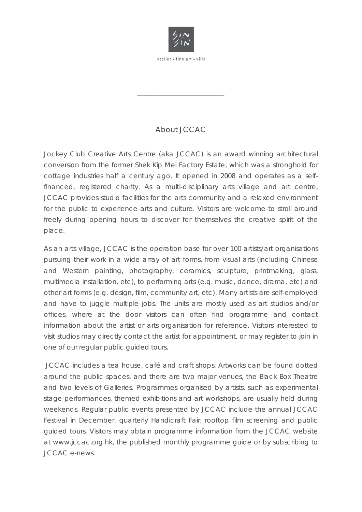

\_\_\_\_\_\_\_\_\_\_\_\_\_\_\_\_\_\_\_\_\_\_\_\_\_\_

## About JCCAC

Jockey Club Creative Arts Centre (aka JCCAC) is an award winning architectural conversion from the former Shek Kip Mei Factory Estate, which was a stronghold for cottage industries half a century ago. It opened in 2008 and operates as a selffinanced, registered charity. As a multi-disciplinary arts village and art centre, JCCAC provides studio facilities for the arts community and a relaxed environment for the public to experience arts and culture. Visitors are welcome to stroll around freely during opening hours to discover for themselves the creative spirit of the place.

As an arts village, JCCAC is the operation base for over 100 artists/art organisations pursuing their work in a wide array of art forms, from visual arts (including Chinese and Western painting, photography, ceramics, sculpture, printmaking, glass, multimedia installation, etc), to performing arts (e.g. music, dance, drama, etc) and other art forms (e.g. design, film, community art, etc). Many artists are self-employed and have to juggle multiple jobs. The units are mostly used as art studios and/or offices, where at the door visitors can often find programme and contact information about the artist or arts organisation for reference. Visitors interested to visit studios may directly contact the artist for appointment, or may register to join in one of our regular public guided tours.

 JCCAC includes a tea house, café and craft shops. Artworks can be found dotted around the public spaces, and there are two major venues, the Black Box Theatre and two levels of Galleries. Programmes organised by artists, such as experimental stage performances, themed exhibitions and art workshops, are usually held during weekends. Regular public events presented by JCCAC include the annual JCCAC Festival in December, quarterly Handicraft Fair, rooftop film screening and public guided tours. Visitors may obtain programme information from the JCCAC website at www.jccac.org.hk, the published monthly programme guide or by subscribing to JCCAC e-news.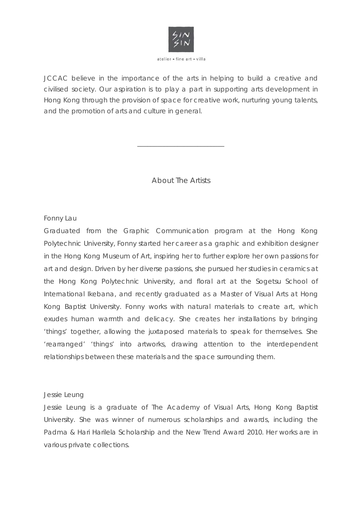

JCCAC believe in the importance of the arts in helping to build a creative and civilised society. Our aspiration is to play a part in supporting arts development in Hong Kong through the provision of space for creative work, nurturing young talents, and the promotion of arts and culture in general.

About The Artists

\_\_\_\_\_\_\_\_\_\_\_\_\_\_\_\_\_\_\_\_\_\_\_\_\_\_

Fonny Lau

Graduated from the Graphic Communication program at the Hong Kong Polytechnic University, Fonny started her career as a graphic and exhibition designer in the Hong Kong Museum of Art, inspiring her to further explore her own passions for art and design. Driven by her diverse passions, she pursued her studies in ceramics at the Hong Kong Polytechnic University, and floral art at the Sogetsu School of International Ikebana, and recently graduated as a Master of Visual Arts at Hong Kong Baptist University. Fonny works with natural materials to create art, which exudes human warmth and delicacy. She creates her installations by bringing 'things' together, allowing the juxtaposed materials to speak for themselves. She 'rearranged' 'things' into artworks, drawing attention to the interdependent relationships between these materials and the space surrounding them.

#### Jessie Leung

Jessie Leung is a graduate of The Academy of Visual Arts, Hong Kong Baptist University. She was winner of numerous scholarships and awards, including the Padma & Hari Harilela Scholarship and the New Trend Award 2010. Her works are in various private collections.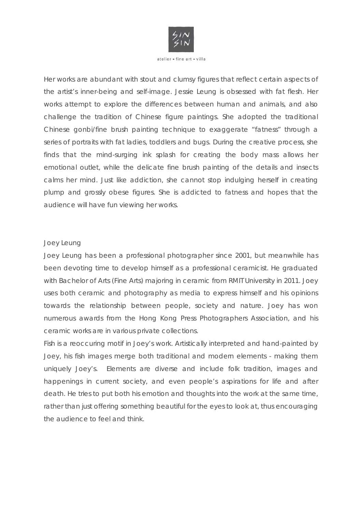

Her works are abundant with stout and clumsy figures that reflect certain aspects of the artist's inner-being and self-image. Jessie Leung is obsessed with fat flesh. Her works attempt to explore the differences between human and animals, and also challenge the tradition of Chinese figure paintings. She adopted the traditional Chinese gonbi/fine brush painting technique to exaggerate "fatness" through a series of portraits with fat ladies, toddlers and bugs. During the creative process, she finds that the mind-surging ink splash for creating the body mass allows her emotional outlet, while the delicate fine brush painting of the details and insects calms her mind. Just like addiction, she cannot stop indulging herself in creating plump and grossly obese figures. She is addicted to fatness and hopes that the audience will have fun viewing her works.

#### Joey Leung

Joey Leung has been a professional photographer since 2001, but meanwhile has been devoting time to develop himself as a professional ceramicist. He graduated with Bachelor of Arts (Fine Arts) majoring in ceramic from RMIT University in 2011. Joey uses both ceramic and photography as media to express himself and his opinions towards the relationship between people, society and nature. Joey has won numerous awards from the Hong Kong Press Photographers Association, and his ceramic works are in various private collections.

Fish is a reoccuring motif in Joey's work. Artistically interpreted and hand-painted by Joey, his fish images merge both traditional and modern elements - making them uniquely Joey's. Elements are diverse and include folk tradition, images and happenings in current society, and even people's aspirations for life and after death. He tries to put both his emotion and thoughts into the work at the same time, rather than just offering something beautiful for the eyes to look at, thus encouraging the audience to feel and think.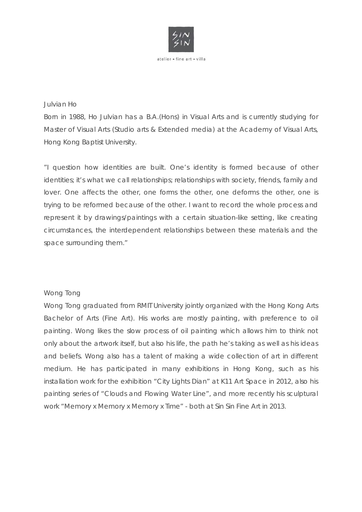

#### Julvian Ho

Born in 1988, Ho Julvian has a B.A.(Hons) in Visual Arts and is currently studying for Master of Visual Arts (Studio arts & Extended media) at the Academy of Visual Arts, Hong Kong Baptist University.

"I question how identities are built. One's identity is formed because of other identities; it's what we call relationships; relationships with society, friends, family and lover. One affects the other, one forms the other, one deforms the other, one is trying to be reformed because of the other. I want to record the whole process and represent it by drawings/paintings with a certain situation-like setting, like creating circumstances, the interdependent relationships between these materials and the space surrounding them."

#### Wong Tong

Wong Tong graduated from RMIT University jointly organized with the Hong Kong Arts Bachelor of Arts (Fine Art). His works are mostly painting, with preference to oil painting. Wong likes the slow process of oil painting which allows him to think not only about the artwork itself, but also his life, the path he's taking as well as his ideas and beliefs. Wong also has a talent of making a wide collection of art in different medium. He has participated in many exhibitions in Hong Kong, such as his installation work for the exhibition "City Lights Dian" at K11 Art Space in 2012, also his painting series of "Clouds and Flowing Water Line", and more recently his sculptural work "Memory x Memory x Memory x Time" - both at Sin Sin Fine Art in 2013.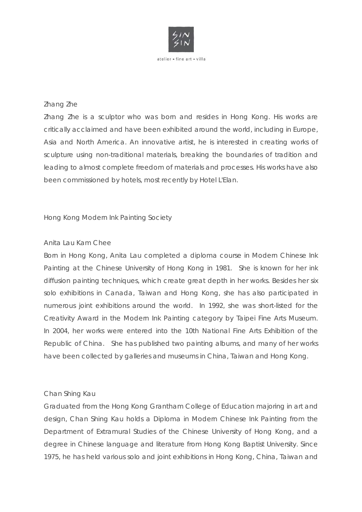

#### Zhang Zhe

Zhang Zhe is a sculptor who was born and resides in Hong Kong. His works are critically acclaimed and have been exhibited around the world, including in Europe, Asia and North America. An innovative artist, he is interested in creating works of sculpture using non-traditional materials, breaking the boundaries of tradition and leading to almost complete freedom of materials and processes. His works have also been commissioned by hotels, most recently by Hotel L'Elan.

#### Hong Kong Modern Ink Painting Society

#### Anita Lau Kam Chee

Born in Hong Kong, Anita Lau completed a diploma course in Modern Chinese Ink Painting at the Chinese University of Hong Kong in 1981. She is known for her ink diffusion painting techniques, which create great depth in her works. Besides her six solo exhibitions in Canada, Taiwan and Hong Kong, she has also participated in numerous joint exhibitions around the world. In 1992, she was short-listed for the Creativity Award in the Modern Ink Painting category by Taipei Fine Arts Museum. In 2004, her works were entered into the 10th National Fine Arts Exhibition of the Republic of China. She has published two painting albums, and many of her works have been collected by galleries and museums in China, Taiwan and Hong Kong.

#### Chan Shing Kau

Graduated from the Hong Kong Grantham College of Education majoring in art and design, Chan Shing Kau holds a Diploma in Modern Chinese Ink Painting from the Department of Extramural Studies of the Chinese University of Hong Kong, and a degree in Chinese language and literature from Hong Kong Baptist University. Since 1975, he has held various solo and joint exhibitions in Hong Kong, China, Taiwan and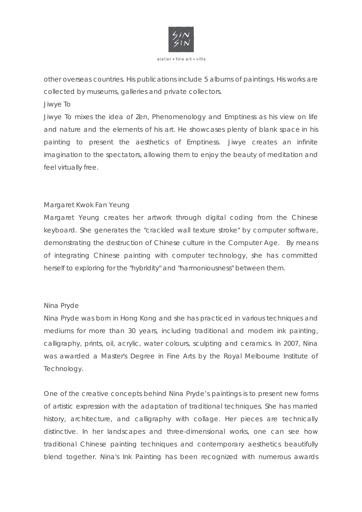

other overseas countries. His publications include 5 albums of paintings. His works are collected by museums, galleries and private collectors.

#### Jiwye To

Jiwye To mixes the idea of Zen, Phenomenology and Emptiness as his view on life and nature and the elements of his art. He showcases plenty of blank space in his painting to present the aesthetics of Emptiness. Jiwye creates an infinite imagination to the spectators, allowing them to enjoy the beauty of meditation and feel virtually free.

#### Margaret Kwok Fan Yeung

Margaret Yeung creates her artwork through digital coding from the Chinese keyboard. She generates the "crackled wall texture stroke" by computer software, demonstrating the destruction of Chinese culture in the Computer Age. By means of integrating Chinese painting with computer technology, she has committed herself to exploring for the "hybridity" and "harmoniousness" between them.

#### Nina Pryde

Nina Pryde was born in Hong Kong and she has practiced in various techniques and mediums for more than 30 years, including traditional and modern ink painting, calligraphy, prints, oil, acrylic, water colours, sculpting and ceramics. In 2007, Nina was awarded a Master's Degree in Fine Arts by the Royal Melbourne Institute of Technology.

One of the creative concepts behind Nina Pryde's paintings is to present new forms of artistic expression with the adaptation of traditional techniques. She has married history, architecture, and calligraphy with collage. Her pieces are technically distinctive. In her landscapes and three-dimensional works, one can see how traditional Chinese painting techniques and contemporary aesthetics beautifully blend together. Nina's Ink Painting has been recognized with numerous awards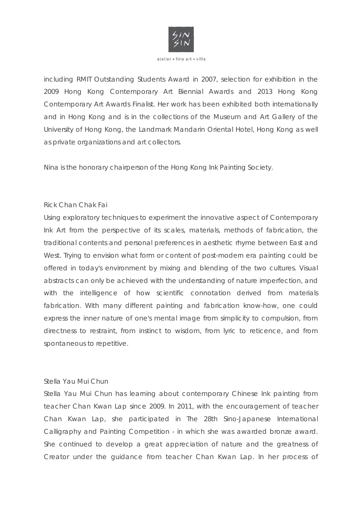

including RMIT Outstanding Students Award in 2007, selection for exhibition in the 2009 Hong Kong Contemporary Art Biennial Awards and 2013 Hong Kong Contemporary Art Awards Finalist. Her work has been exhibited both internationally and in Hong Kong and is in the collections of the Museum and Art Gallery of the University of Hong Kong, the Landmark Mandarin Oriental Hotel, Hong Kong as well as private organizations and art collectors.

Nina is the honorary chairperson of the Hong Kong Ink Painting Society.

#### Rick Chan Chak Fai

Using exploratory techniques to experiment the innovative aspect of Contemporary Ink Art from the perspective of its scales, materials, methods of fabrication, the traditional contents and personal preferences in aesthetic rhyme between East and West. Trying to envision what form or content of post-modern era painting could be offered in today's environment by mixing and blending of the two cultures. Visual abstracts can only be achieved with the understanding of nature imperfection, and with the intelligence of how scientific connotation derived from materials fabrication. With many different painting and fabrication know-how, one could express the inner nature of one's mental image from simplicity to compulsion, from directness to restraint, from instinct to wisdom, from lyric to reticence, and from spontaneous to repetitive.

#### Stella Yau Mui Chun

Stella Yau Mui Chun has learning about contemporary Chinese Ink painting from teacher Chan Kwan Lap since 2009. In 2011, with the encouragement of teacher Chan Kwan Lap, she participated in The 28th Sino-Japanese International Calligraphy and Painting Competition - in which she was awarded bronze award. She continued to develop a great appreciation of nature and the greatness of Creator under the guidance from teacher Chan Kwan Lap. In her process of